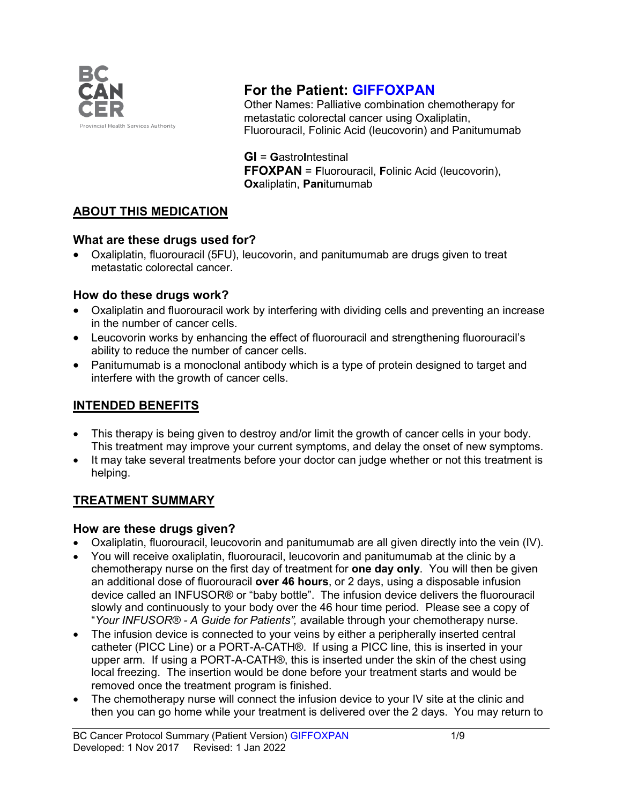

# **For the Patient: GIFFOXPAN**

Other Names: Palliative combination chemotherapy for metastatic colorectal cancer using Oxaliplatin, Fluorouracil, Folinic Acid (leucovorin) and Panitumumab

**GI** = **G**astro**I**ntestinal **FFOXPAN** = **F**luorouracil, **F**olinic Acid (leucovorin), **Ox**aliplatin, **Pan**itumumab

### **ABOUT THIS MEDICATION**

#### **What are these drugs used for?**

• Oxaliplatin, fluorouracil (5FU), leucovorin, and panitumumab are drugs given to treat metastatic colorectal cancer.

#### **How do these drugs work?**

- Oxaliplatin and fluorouracil work by interfering with dividing cells and preventing an increase in the number of cancer cells.
- Leucovorin works by enhancing the effect of fluorouracil and strengthening fluorouracil's ability to reduce the number of cancer cells.
- Panitumumab is a monoclonal antibody which is a type of protein designed to target and interfere with the growth of cancer cells.

### **INTENDED BENEFITS**

- This therapy is being given to destroy and/or limit the growth of cancer cells in your body. This treatment may improve your current symptoms, and delay the onset of new symptoms.
- It may take several treatments before your doctor can judge whether or not this treatment is helping.

### **TREATMENT SUMMARY**

#### **How are these drugs given?**

- Oxaliplatin, fluorouracil, leucovorin and panitumumab are all given directly into the vein (IV).
- You will receive oxaliplatin, fluorouracil, leucovorin and panitumumab at the clinic by a chemotherapy nurse on the first day of treatment for **one day only**. You will then be given an additional dose of fluorouracil **over 46 hours**, or 2 days, using a disposable infusion device called an INFUSOR® or "baby bottle". The infusion device delivers the fluorouracil slowly and continuously to your body over the 46 hour time period. Please see a copy of "*Your INFUSOR® - A Guide for Patients",* available through your chemotherapy nurse.
- The infusion device is connected to your veins by either a peripherally inserted central catheter (PICC Line) or a PORT-A-CATH®. If using a PICC line, this is inserted in your upper arm. If using a PORT-A-CATH®, this is inserted under the skin of the chest using local freezing. The insertion would be done before your treatment starts and would be removed once the treatment program is finished.
- The chemotherapy nurse will connect the infusion device to your IV site at the clinic and then you can go home while your treatment is delivered over the 2 days. You may return to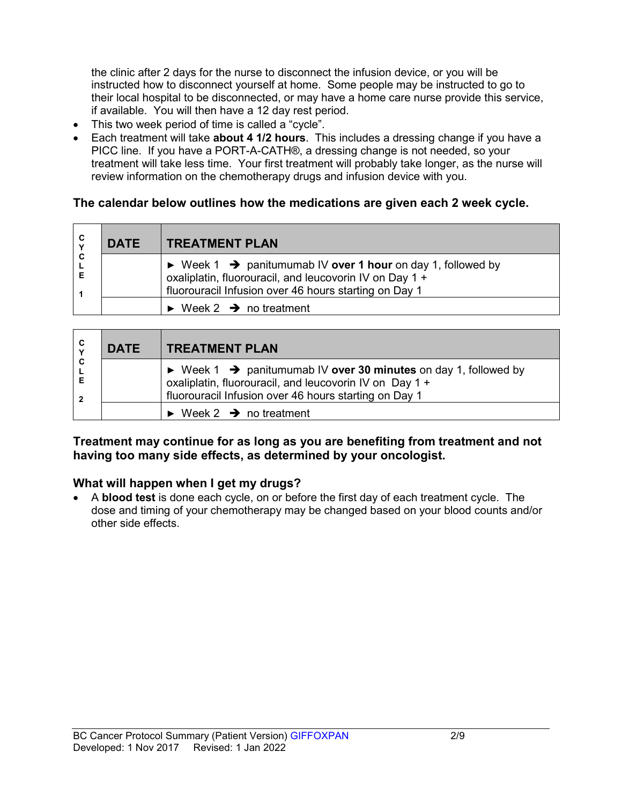the clinic after 2 days for the nurse to disconnect the infusion device, or you will be instructed how to disconnect yourself at home. Some people may be instructed to go to their local hospital to be disconnected, or may have a home care nurse provide this service, if available. You will then have a 12 day rest period.

- This two week period of time is called a "cycle".
- Each treatment will take **about 4 1/2 hours**. This includes a dressing change if you have a PICC line. If you have a PORT-A-CATH®, a dressing change is not needed, so your treatment will take less time. Your first treatment will probably take longer, as the nurse will review information on the chemotherapy drugs and infusion device with you.

#### **The calendar below outlines how the medications are given each 2 week cycle.**

| C<br>$\mathbf v$ | <b>DATE</b> | <b>TREATMENT PLAN</b>                                                                                                                                                                                      |
|------------------|-------------|------------------------------------------------------------------------------------------------------------------------------------------------------------------------------------------------------------|
| C                |             | $\triangleright$ Week 1 $\rightarrow$ panitumumab IV over 1 hour on day 1, followed by<br>oxaliplatin, fluorouracil, and leucovorin IV on Day 1 +<br>fluorouracil Infusion over 46 hours starting on Day 1 |
|                  |             | $\triangleright$ Week 2 $\rightarrow$ no treatment                                                                                                                                                         |

| C | <b>DATE</b> | <b>TREATMENT PLAN</b>                                                                                                                                                                                          |  |
|---|-------------|----------------------------------------------------------------------------------------------------------------------------------------------------------------------------------------------------------------|--|
| C |             | $\triangleright$ Week 1 $\rightarrow$ panitumumab IV over 30 minutes on day 1, followed by<br>oxaliplatin, fluorouracil, and leucovorin IV on Day 1 +<br>fluorouracil Infusion over 46 hours starting on Day 1 |  |
|   |             | $\triangleright$ Week 2 $\rightarrow$ no treatment                                                                                                                                                             |  |

#### **Treatment may continue for as long as you are benefiting from treatment and not having too many side effects, as determined by your oncologist.**

#### **What will happen when I get my drugs?**

• A **blood test** is done each cycle, on or before the first day of each treatment cycle. The dose and timing of your chemotherapy may be changed based on your blood counts and/or other side effects.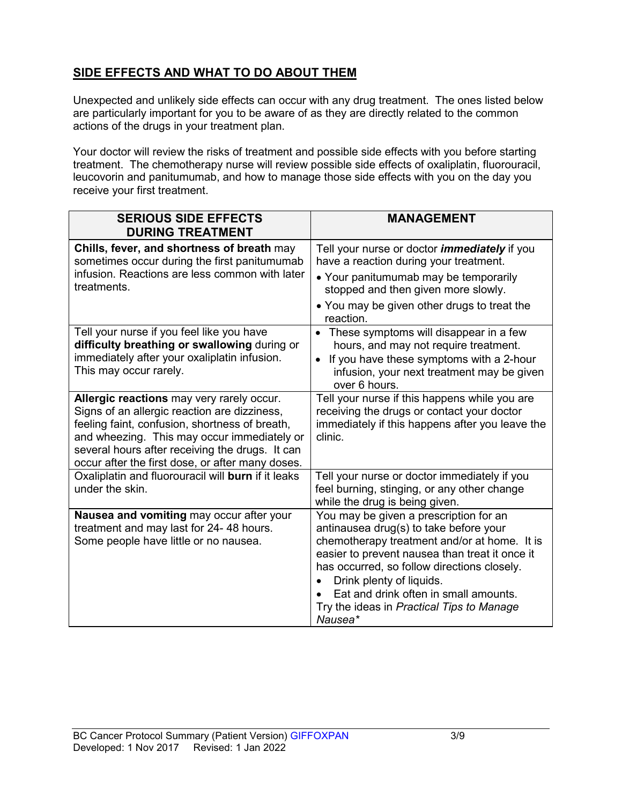## **SIDE EFFECTS AND WHAT TO DO ABOUT THEM**

Unexpected and unlikely side effects can occur with any drug treatment. The ones listed below are particularly important for you to be aware of as they are directly related to the common actions of the drugs in your treatment plan.

Your doctor will review the risks of treatment and possible side effects with you before starting treatment. The chemotherapy nurse will review possible side effects of oxaliplatin, fluorouracil, leucovorin and panitumumab, and how to manage those side effects with you on the day you receive your first treatment.

| <b>SERIOUS SIDE EFFECTS</b><br><b>DURING TREATMENT</b>                                                                                                                                                                                                                                            | <b>MANAGEMENT</b>                                                                                                                                                                                                                                                                                                                                                           |
|---------------------------------------------------------------------------------------------------------------------------------------------------------------------------------------------------------------------------------------------------------------------------------------------------|-----------------------------------------------------------------------------------------------------------------------------------------------------------------------------------------------------------------------------------------------------------------------------------------------------------------------------------------------------------------------------|
| Chills, fever, and shortness of breath may<br>sometimes occur during the first panitumumab<br>infusion. Reactions are less common with later<br>treatments.                                                                                                                                       | Tell your nurse or doctor <i>immediately</i> if you<br>have a reaction during your treatment.<br>• Your panitumumab may be temporarily<br>stopped and then given more slowly.<br>• You may be given other drugs to treat the<br>reaction.                                                                                                                                   |
| Tell your nurse if you feel like you have<br>difficulty breathing or swallowing during or<br>immediately after your oxaliplatin infusion.<br>This may occur rarely.                                                                                                                               | These symptoms will disappear in a few<br>$\bullet$<br>hours, and may not require treatment.<br>If you have these symptoms with a 2-hour<br>$\bullet$<br>infusion, your next treatment may be given<br>over 6 hours.                                                                                                                                                        |
| Allergic reactions may very rarely occur.<br>Signs of an allergic reaction are dizziness,<br>feeling faint, confusion, shortness of breath,<br>and wheezing. This may occur immediately or<br>several hours after receiving the drugs. It can<br>occur after the first dose, or after many doses. | Tell your nurse if this happens while you are<br>receiving the drugs or contact your doctor<br>immediately if this happens after you leave the<br>clinic.                                                                                                                                                                                                                   |
| Oxaliplatin and fluorouracil will burn if it leaks<br>under the skin.                                                                                                                                                                                                                             | Tell your nurse or doctor immediately if you<br>feel burning, stinging, or any other change<br>while the drug is being given.                                                                                                                                                                                                                                               |
| Nausea and vomiting may occur after your<br>treatment and may last for 24-48 hours.<br>Some people have little or no nausea.                                                                                                                                                                      | You may be given a prescription for an<br>antinausea drug(s) to take before your<br>chemotherapy treatment and/or at home. It is<br>easier to prevent nausea than treat it once it<br>has occurred, so follow directions closely.<br>Drink plenty of liquids.<br>$\bullet$<br>Eat and drink often in small amounts.<br>Try the ideas in Practical Tips to Manage<br>Nausea* |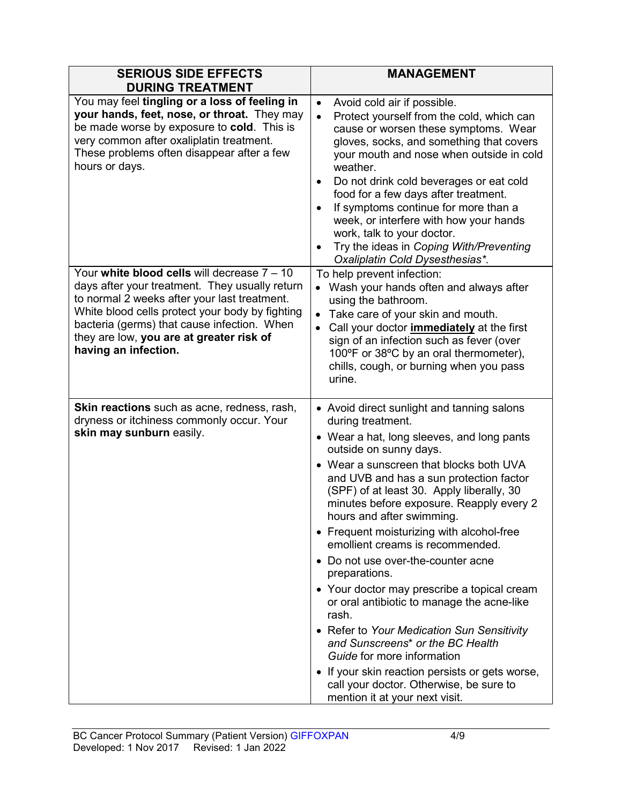| <b>SERIOUS SIDE EFFECTS</b><br><b>DURING TREATMENT</b>                                                                                                                                                                                                                                                                | <b>MANAGEMENT</b>                                                                                                                                                                                                                                                                                                                                                                                                                                                                                                                                                                                                                                                                                                                                                                                                                                             |
|-----------------------------------------------------------------------------------------------------------------------------------------------------------------------------------------------------------------------------------------------------------------------------------------------------------------------|---------------------------------------------------------------------------------------------------------------------------------------------------------------------------------------------------------------------------------------------------------------------------------------------------------------------------------------------------------------------------------------------------------------------------------------------------------------------------------------------------------------------------------------------------------------------------------------------------------------------------------------------------------------------------------------------------------------------------------------------------------------------------------------------------------------------------------------------------------------|
| You may feel tingling or a loss of feeling in<br>your hands, feet, nose, or throat. They may<br>be made worse by exposure to cold. This is<br>very common after oxaliplatin treatment.<br>These problems often disappear after a few<br>hours or days.                                                                | Avoid cold air if possible.<br>$\bullet$<br>Protect yourself from the cold, which can<br>$\bullet$<br>cause or worsen these symptoms. Wear<br>gloves, socks, and something that covers<br>your mouth and nose when outside in cold<br>weather.<br>Do not drink cold beverages or eat cold<br>$\bullet$<br>food for a few days after treatment.<br>If symptoms continue for more than a<br>$\bullet$<br>week, or interfere with how your hands<br>work, talk to your doctor.<br>Try the ideas in Coping With/Preventing<br>Oxaliplatin Cold Dysesthesias*.                                                                                                                                                                                                                                                                                                     |
| Your white blood cells will decrease $7 - 10$<br>days after your treatment. They usually return<br>to normal 2 weeks after your last treatment.<br>White blood cells protect your body by fighting<br>bacteria (germs) that cause infection. When<br>they are low, you are at greater risk of<br>having an infection. | To help prevent infection:<br>• Wash your hands often and always after<br>using the bathroom.<br>Take care of your skin and mouth.<br>$\bullet$<br>Call your doctor <i>immediately</i> at the first<br>$\bullet$<br>sign of an infection such as fever (over<br>100°F or 38°C by an oral thermometer),<br>chills, cough, or burning when you pass<br>urine.                                                                                                                                                                                                                                                                                                                                                                                                                                                                                                   |
| <b>Skin reactions</b> such as acne, redness, rash,<br>dryness or itchiness commonly occur. Your<br>skin may sunburn easily.                                                                                                                                                                                           | • Avoid direct sunlight and tanning salons<br>during treatment.<br>• Wear a hat, long sleeves, and long pants<br>outside on sunny days.<br>• Wear a sunscreen that blocks both UVA<br>and UVB and has a sun protection factor<br>(SPF) of at least 30. Apply liberally, 30<br>minutes before exposure. Reapply every 2<br>hours and after swimming.<br>• Frequent moisturizing with alcohol-free<br>emollient creams is recommended.<br>• Do not use over-the-counter acne<br>preparations.<br>• Your doctor may prescribe a topical cream<br>or oral antibiotic to manage the acne-like<br>rash.<br>• Refer to Your Medication Sun Sensitivity<br>and Sunscreens <sup>*</sup> or the BC Health<br>Guide for more information<br>• If your skin reaction persists or gets worse,<br>call your doctor. Otherwise, be sure to<br>mention it at your next visit. |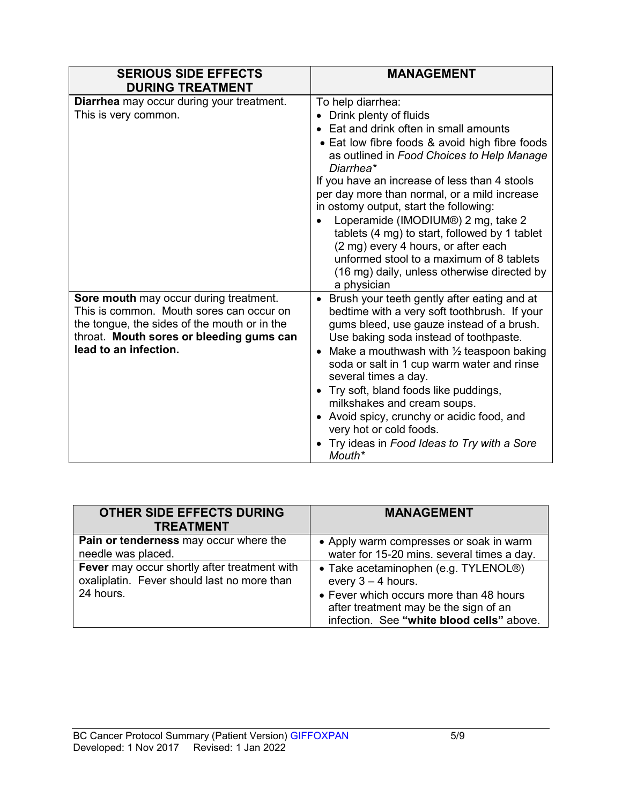| <b>SERIOUS SIDE EFFECTS</b><br><b>DURING TREATMENT</b>                                                                                                                                                  | <b>MANAGEMENT</b>                                                                                                                                                                                                                                                                                                                                                                                                                                                                                                                                                                   |
|---------------------------------------------------------------------------------------------------------------------------------------------------------------------------------------------------------|-------------------------------------------------------------------------------------------------------------------------------------------------------------------------------------------------------------------------------------------------------------------------------------------------------------------------------------------------------------------------------------------------------------------------------------------------------------------------------------------------------------------------------------------------------------------------------------|
| <b>Diarrhea</b> may occur during your treatment.<br>This is very common.                                                                                                                                | To help diarrhea:<br>Drink plenty of fluids<br>Eat and drink often in small amounts<br>• Eat low fibre foods & avoid high fibre foods<br>as outlined in Food Choices to Help Manage<br>Diarrhea*<br>If you have an increase of less than 4 stools<br>per day more than normal, or a mild increase<br>in ostomy output, start the following:<br>Loperamide (IMODIUM®) 2 mg, take 2<br>tablets (4 mg) to start, followed by 1 tablet<br>(2 mg) every 4 hours, or after each<br>unformed stool to a maximum of 8 tablets<br>(16 mg) daily, unless otherwise directed by<br>a physician |
| Sore mouth may occur during treatment.<br>This is common. Mouth sores can occur on<br>the tongue, the sides of the mouth or in the<br>throat. Mouth sores or bleeding gums can<br>lead to an infection. | Brush your teeth gently after eating and at<br>$\bullet$<br>bedtime with a very soft toothbrush. If your<br>gums bleed, use gauze instead of a brush.<br>Use baking soda instead of toothpaste.<br>Make a mouthwash with $\frac{1}{2}$ teaspoon baking<br>$\bullet$<br>soda or salt in 1 cup warm water and rinse<br>several times a day.<br>Try soft, bland foods like puddings,<br>$\bullet$<br>milkshakes and cream soups.<br>Avoid spicy, crunchy or acidic food, and<br>$\bullet$<br>very hot or cold foods.<br>Try ideas in Food Ideas to Try with a Sore<br>Mouth*           |

| <b>OTHER SIDE EFFECTS DURING</b><br><b>TREATMENT</b>                                                     | <b>MANAGEMENT</b>                                                                                                                                                                             |
|----------------------------------------------------------------------------------------------------------|-----------------------------------------------------------------------------------------------------------------------------------------------------------------------------------------------|
| Pain or tenderness may occur where the<br>needle was placed.                                             | • Apply warm compresses or soak in warm<br>water for 15-20 mins. several times a day.                                                                                                         |
| Fever may occur shortly after treatment with<br>oxaliplatin. Fever should last no more than<br>24 hours. | • Take acetaminophen (e.g. TYLENOL®)<br>every $3 - 4$ hours.<br>• Fever which occurs more than 48 hours<br>after treatment may be the sign of an<br>infection. See "white blood cells" above. |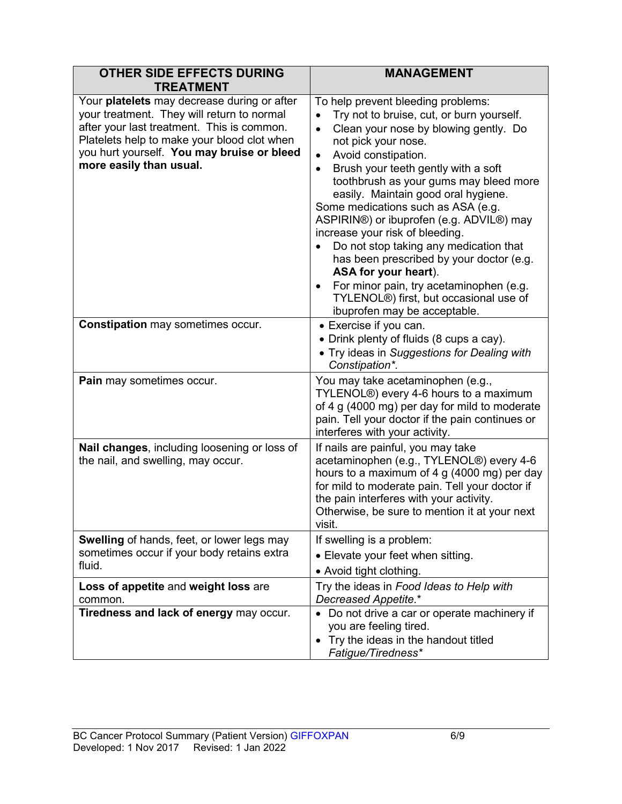| <b>OTHER SIDE EFFECTS DURING</b><br><b>TREATMENT</b>                                                                                                                                                                                                            | <b>MANAGEMENT</b>                                                                                                                                                                                                                                                                                                                                                                                                                                                                                                                                                                                                                                                                                                       |
|-----------------------------------------------------------------------------------------------------------------------------------------------------------------------------------------------------------------------------------------------------------------|-------------------------------------------------------------------------------------------------------------------------------------------------------------------------------------------------------------------------------------------------------------------------------------------------------------------------------------------------------------------------------------------------------------------------------------------------------------------------------------------------------------------------------------------------------------------------------------------------------------------------------------------------------------------------------------------------------------------------|
| Your platelets may decrease during or after<br>your treatment. They will return to normal<br>after your last treatment. This is common.<br>Platelets help to make your blood clot when<br>you hurt yourself. You may bruise or bleed<br>more easily than usual. | To help prevent bleeding problems:<br>Try not to bruise, cut, or burn yourself.<br>$\bullet$<br>Clean your nose by blowing gently. Do<br>$\bullet$<br>not pick your nose.<br>Avoid constipation.<br>$\bullet$<br>Brush your teeth gently with a soft<br>$\bullet$<br>toothbrush as your gums may bleed more<br>easily. Maintain good oral hygiene.<br>Some medications such as ASA (e.g.<br>ASPIRIN®) or ibuprofen (e.g. ADVIL®) may<br>increase your risk of bleeding.<br>Do not stop taking any medication that<br>has been prescribed by your doctor (e.g.<br>ASA for your heart).<br>For minor pain, try acetaminophen (e.g.<br>$\bullet$<br>TYLENOL®) first, but occasional use of<br>ibuprofen may be acceptable. |
| <b>Constipation</b> may sometimes occur.                                                                                                                                                                                                                        | • Exercise if you can.<br>• Drink plenty of fluids (8 cups a cay).<br>• Try ideas in Suggestions for Dealing with<br>Constipation*.                                                                                                                                                                                                                                                                                                                                                                                                                                                                                                                                                                                     |
| Pain may sometimes occur.                                                                                                                                                                                                                                       | You may take acetaminophen (e.g.,<br>TYLENOL <sup>®</sup> ) every 4-6 hours to a maximum<br>of 4 g (4000 mg) per day for mild to moderate<br>pain. Tell your doctor if the pain continues or<br>interferes with your activity.                                                                                                                                                                                                                                                                                                                                                                                                                                                                                          |
| Nail changes, including loosening or loss of<br>the nail, and swelling, may occur.                                                                                                                                                                              | If nails are painful, you may take<br>acetaminophen (e.g., TYLENOL®) every 4-6<br>hours to a maximum of 4 g (4000 mg) per day<br>for mild to moderate pain. Tell your doctor if<br>the pain interferes with your activity.<br>Otherwise, be sure to mention it at your next<br>visit.                                                                                                                                                                                                                                                                                                                                                                                                                                   |
| <b>Swelling</b> of hands, feet, or lower legs may<br>sometimes occur if your body retains extra<br>fluid.                                                                                                                                                       | If swelling is a problem:<br>• Elevate your feet when sitting.<br>• Avoid tight clothing.                                                                                                                                                                                                                                                                                                                                                                                                                                                                                                                                                                                                                               |
| Loss of appetite and weight loss are<br>common.                                                                                                                                                                                                                 | Try the ideas in Food Ideas to Help with<br>Decreased Appetite.*                                                                                                                                                                                                                                                                                                                                                                                                                                                                                                                                                                                                                                                        |
| Tiredness and lack of energy may occur.                                                                                                                                                                                                                         | Do not drive a car or operate machinery if<br>٠<br>you are feeling tired.<br>Try the ideas in the handout titled<br>٠<br>Fatigue/Tiredness*                                                                                                                                                                                                                                                                                                                                                                                                                                                                                                                                                                             |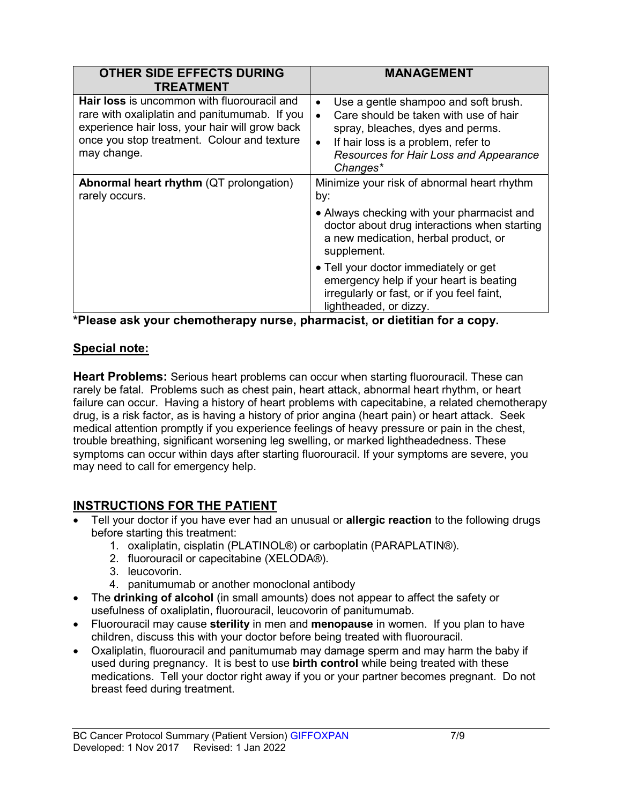| <b>OTHER SIDE EFFECTS DURING</b><br><b>TREATMENT</b>                                                                                                                                                                | <b>MANAGEMENT</b>                                                                                                                                                                                                                                     |
|---------------------------------------------------------------------------------------------------------------------------------------------------------------------------------------------------------------------|-------------------------------------------------------------------------------------------------------------------------------------------------------------------------------------------------------------------------------------------------------|
| <b>Hair loss</b> is uncommon with fluorouracil and<br>rare with oxaliplatin and panitumumab. If you<br>experience hair loss, your hair will grow back<br>once you stop treatment. Colour and texture<br>may change. | Use a gentle shampoo and soft brush.<br>$\bullet$<br>Care should be taken with use of hair<br>$\bullet$<br>spray, bleaches, dyes and perms.<br>If hair loss is a problem, refer to<br>$\bullet$<br>Resources for Hair Loss and Appearance<br>Changes* |
| <b>Abnormal heart rhythm (QT prolongation)</b><br>rarely occurs.                                                                                                                                                    | Minimize your risk of abnormal heart rhythm<br>by:                                                                                                                                                                                                    |
|                                                                                                                                                                                                                     | • Always checking with your pharmacist and<br>doctor about drug interactions when starting<br>a new medication, herbal product, or<br>supplement.                                                                                                     |
|                                                                                                                                                                                                                     | • Tell your doctor immediately or get<br>emergency help if your heart is beating<br>irregularly or fast, or if you feel faint,<br>lightheaded, or dizzy.                                                                                              |

**\*Please ask your chemotherapy nurse, pharmacist, or dietitian for a copy.**

### **Special note:**

**Heart Problems:** Serious heart problems can occur when starting fluorouracil. These can rarely be fatal. Problems such as chest pain, heart attack, abnormal heart rhythm, or heart failure can occur. Having a history of heart problems with capecitabine, a related chemotherapy drug, is a risk factor, as is having a history of prior angina (heart pain) or heart attack. Seek medical attention promptly if you experience feelings of heavy pressure or pain in the chest, trouble breathing, significant worsening leg swelling, or marked lightheadedness. These symptoms can occur within days after starting fluorouracil. If your symptoms are severe, you may need to call for emergency help.

### **INSTRUCTIONS FOR THE PATIENT**

- Tell your doctor if you have ever had an unusual or **allergic reaction** to the following drugs before starting this treatment:
	- 1. oxaliplatin, cisplatin (PLATINOL®) or carboplatin (PARAPLATIN®).
	- 2. fluorouracil or capecitabine (XELODA®).
	- 3. leucovorin.
	- 4. panitumumab or another monoclonal antibody
- The **drinking of alcohol** (in small amounts) does not appear to affect the safety or usefulness of oxaliplatin, fluorouracil, leucovorin of panitumumab.
- Fluorouracil may cause **sterility** in men and **menopause** in women. If you plan to have children, discuss this with your doctor before being treated with fluorouracil.
- Oxaliplatin, fluorouracil and panitumumab may damage sperm and may harm the baby if used during pregnancy. It is best to use **birth control** while being treated with these medications. Tell your doctor right away if you or your partner becomes pregnant. Do not breast feed during treatment.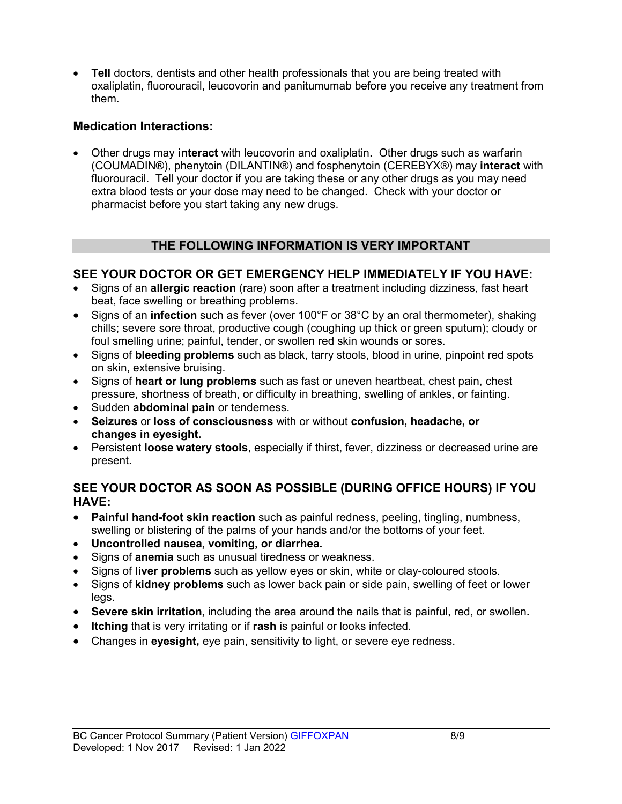• **Tell** doctors, dentists and other health professionals that you are being treated with oxaliplatin, fluorouracil, leucovorin and panitumumab before you receive any treatment from them.

### **Medication Interactions:**

• Other drugs may **interact** with leucovorin and oxaliplatin. Other drugs such as warfarin (COUMADIN®), phenytoin (DILANTIN®) and fosphenytoin (CEREBYX®) may **interact** with fluorouracil. Tell your doctor if you are taking these or any other drugs as you may need extra blood tests or your dose may need to be changed. Check with your doctor or pharmacist before you start taking any new drugs.

### **THE FOLLOWING INFORMATION IS VERY IMPORTANT**

### **SEE YOUR DOCTOR OR GET EMERGENCY HELP IMMEDIATELY IF YOU HAVE:**

- Signs of an **allergic reaction** (rare) soon after a treatment including dizziness, fast heart beat, face swelling or breathing problems.
- Signs of an **infection** such as fever (over 100°F or 38°C by an oral thermometer), shaking chills; severe sore throat, productive cough (coughing up thick or green sputum); cloudy or foul smelling urine; painful, tender, or swollen red skin wounds or sores.
- Signs of **bleeding problems** such as black, tarry stools, blood in urine, pinpoint red spots on skin, extensive bruising.
- Signs of **heart or lung problems** such as fast or uneven heartbeat, chest pain, chest pressure, shortness of breath, or difficulty in breathing, swelling of ankles, or fainting.
- Sudden **abdominal pain** or tenderness.
- **Seizures** or **loss of consciousness** with or without **confusion, headache, or changes in eyesight.**
- Persistent **loose watery stools**, especially if thirst, fever, dizziness or decreased urine are present.

### **SEE YOUR DOCTOR AS SOON AS POSSIBLE (DURING OFFICE HOURS) IF YOU HAVE:**

- **Painful hand-foot skin reaction** such as painful redness, peeling, tingling, numbness, swelling or blistering of the palms of your hands and/or the bottoms of your feet.
- **Uncontrolled nausea, vomiting, or diarrhea.**
- Signs of **anemia** such as unusual tiredness or weakness.
- Signs of **liver problems** such as yellow eyes or skin, white or clay-coloured stools.
- Signs of **kidney problems** such as lower back pain or side pain, swelling of feet or lower legs.
- **Severe skin irritation,** including the area around the nails that is painful, red, or swollen**.**
- **Itching** that is very irritating or if **rash** is painful or looks infected.
- Changes in **eyesight,** eye pain, sensitivity to light, or severe eye redness.